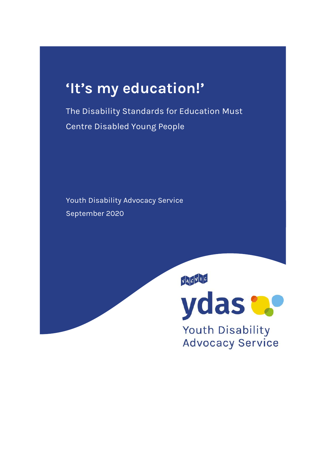# **'It's my education!'**

The Disability Standards for Education Must Centre Disabled Young People

Youth Disability Advocacy Service September 2020

YACVUC



Youth Disability **Advocacy Service**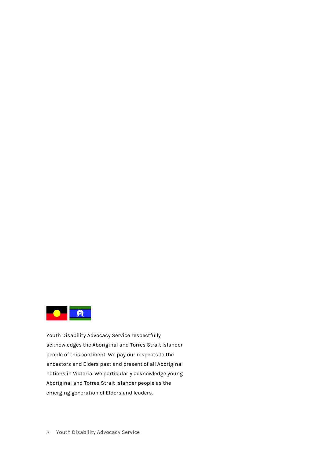

Youth Disability Advocacy Service respectfully acknowledges the Aboriginal and Torres Strait Islander people of this continent. We pay our respects to the ancestors and Elders past and present of all Aboriginal nations in Victoria. We particularly acknowledge young Aboriginal and Torres Strait Islander people as the emerging generation of Elders and leaders.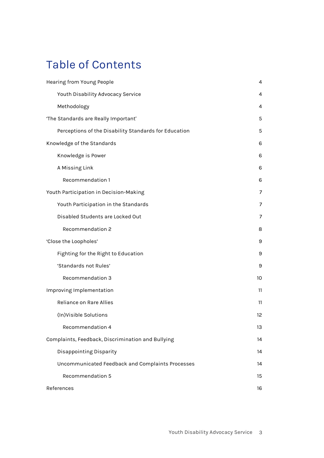## Table of Contents

| Hearing from Young People                             | 4  |
|-------------------------------------------------------|----|
| Youth Disability Advocacy Service                     | 4  |
| Methodology                                           | 4  |
| 'The Standards are Really Important'                  | 5  |
| Perceptions of the Disability Standards for Education | 5  |
| Knowledge of the Standards                            | 6  |
| Knowledge is Power                                    | 6  |
| A Missing Link                                        | 6  |
| Recommendation 1                                      | 6  |
| Youth Participation in Decision-Making                | 7  |
| Youth Participation in the Standards                  | 7  |
| Disabled Students are Locked Out                      | 7  |
| Recommendation 2                                      | 8  |
| 'Close the Loopholes'                                 | 9  |
| Fighting for the Right to Education                   | 9  |
| 'Standards not Rules'                                 | 9  |
| Recommendation 3                                      | 10 |
| Improving Implementation                              | 11 |
| Reliance on Rare Allies                               | 11 |
| (In)Visible Solutions                                 | 12 |
| Recommendation 4                                      | 13 |
| Complaints, Feedback, Discrimination and Bullying     | 14 |
| Disappointing Disparity                               | 14 |
| Uncommunicated Feedback and Complaints Processes      | 14 |
| Recommendation 5                                      | 15 |
| References                                            | 16 |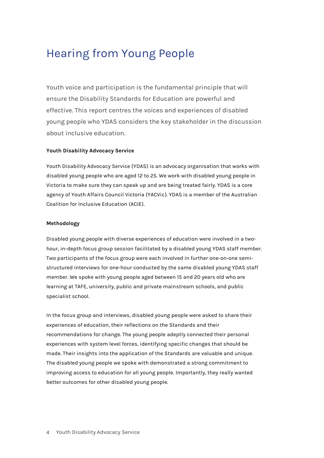### <span id="page-3-0"></span>Hearing from Young People

Youth voice and participation is the fundamental principle that will ensure the Disability Standards for Education are powerful and effective. This report centres the voices and experiences of disabled young people who YDAS considers the key stakeholder in the discussion about inclusive education.

#### <span id="page-3-1"></span>**Youth Disability Advocacy Service**

Youth Disability Advocacy Service (YDAS) is an advocacy organisation that works with disabled young people who are aged 12 to 25. We work with disabled young people in Victoria to make sure they can speak up and are being treated fairly. YDAS is a core agency of Youth Affairs Council Victoria (YACVic). YDAS is a member of the Australian Coalition for Inclusive Education (ACIE).

#### <span id="page-3-2"></span>**Methodology**

Disabled young people with diverse experiences of education were involved in a twohour, in-depth focus group session facilitated by a disabled young YDAS staff member. Two participants of the focus group were each involved in further one-on-one semistructured interviews for one-hour conducted by the same disabled young YDAS staff member. We spoke with young people aged between 15 and 20 years old who are learning at TAFE, university, public and private mainstream schools, and public specialist school.

In the focus group and interviews, disabled young people were asked to share their experiences of education, their reflections on the Standards and their recommendations for change. The young people adeptly connected their personal experiences with system level forces, identifying specific changes that should be made. Their insights into the application of the Standards are valuable and unique. The disabled young people we spoke with demonstrated a strong commitment to improving access to education for all young people. Importantly, they really wanted better outcomes for other disabled young people.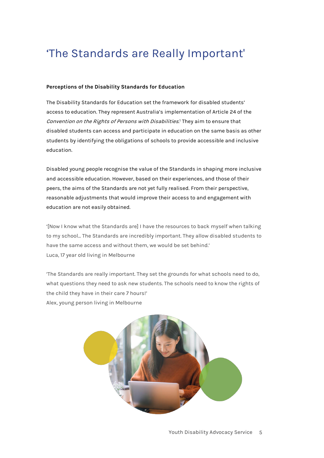# <span id="page-4-0"></span>'The Standards are Really Important'

#### <span id="page-4-1"></span>**Perceptions of the Disability Standards for Education**

<span id="page-4-2"></span>The Disability Standards for Education set the framework for disabled students' access to education. They represent Australia's implementation of Article 24 of the Convention on the Rights of Persons with Disabilities. <sup>1</sup> They aim to ensure that disabled students can access and participate in education on the same basis as other students by identifying the obligations of schools to provide accessible and inclusive education.

Disabled young people recognise the value of the Standards in shaping more inclusive and accessible education. However, based on their experiences, and those of their peers, the aims of the Standards are not yet fully realised. From their perspective, reasonable adjustments that would improve their access to and engagement with education are not easily obtained.

'[Now I know what the Standards are] I have the resources to back myself when talking to my school... The Standards are incredibly important. They allow disabled students to have the same access and without them, we would be set behind.' Luca, 17 year old living in Melbourne

'The Standards are really important. They set the grounds for what schools need to do, what questions they need to ask new students. The schools need to know the rights of the child they have in their care 7 hours!' Alex, young person living in Melbourne

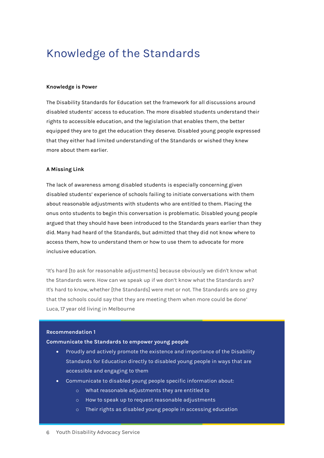### <span id="page-5-0"></span>Knowledge of the Standards

#### <span id="page-5-1"></span>**Knowledge is Power**

The Disability Standards for Education set the framework for all discussions around disabled students' access to education. The more disabled students understand their rights to accessible education, and the legislation that enables them, the better equipped they are to get the education they deserve. Disabled young people expressed that they either had limited understanding of the Standards or wished they knew more about them earlier.

#### <span id="page-5-2"></span>**A Missing Link**

The lack of awareness among disabled students is especially concerning given disabled students' experience of schools failing to initiate conversations with them about reasonable adjustments with students who are entitled to them. Placing the onus onto students to begin this conversation is problematic. Disabled young people argued that they should have been introduced to the Standards years earlier than they did. Many had heard of the Standards, but admitted that they did not know where to access them, how to understand them or how to use them to advocate for more inclusive education.

'It's hard [to ask for reasonable adjustments] because obviously we didn't know what the Standards were. How can we speak up if we don't know what the Standards are? It's hard to know, whether [the Standards] were met or not. The Standards are so grey that the schools could say that they are meeting them when more could be done' Luca, 17 year old living in Melbourne

#### <span id="page-5-3"></span>**Recommendation 1**

**Communicate the Standards to empower young people**

- Proudly and actively promote the existence and importance of the Disability Standards for Education directly to disabled young people in ways that are accessible and engaging to them
- Communicate to disabled young people specific information about:
	- o What reasonable adjustments they are entitled to
	- o How to speak up to request reasonable adjustments
	- o Their rights as disabled young people in accessing education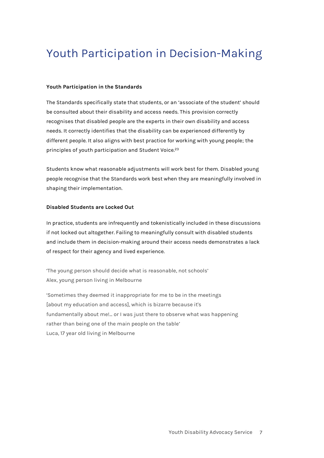# <span id="page-6-0"></span>Youth Participation in Decision-Making

#### <span id="page-6-1"></span>**Youth Participation in the Standards**

The Standards specifically state that students, or an 'associate of the student' should be consulted about their disability and access needs. This provision correctly recognises that disabled people are the experts in their own disability and access needs. It correctly identifies that the disability can be experienced differently by different people. It also aligns with best practice for working with young people; the principles of youth participation and Student Voice. 23

Students know what reasonable adjustments will work best for them. Disabled young people recognise that the Standards work best when they are meaningfully involved in shaping their implementation.

#### <span id="page-6-2"></span>**Disabled Students are Locked Out**

In practice, students are infrequently and tokenistically included in these discussions if not locked out altogether. Failing to meaningfully consult with disabled students and include them in decision-making around their access needs demonstrates a lack of respect for their agency and lived experience.

'The young person should decide what is reasonable, not schools' Alex, young person living in Melbourne

'Sometimes they deemed it inappropriate for me to be in the meetings [about my education and access], which is bizarre because it's fundamentally about me!... or I was just there to observe what was happening rather than being one of the main people on the table' Luca, 17 year old living in Melbourne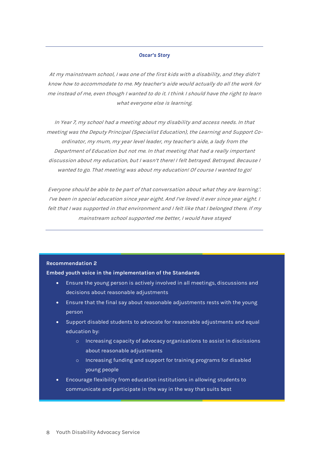#### *Oscar's Story*

At my mainstream school, I was one of the first kids with a disability, and they didn't know how to accommodate to me. My teacher's aide would actually do all the work for me instead of me, even though I wanted to do it. I think I should have the right to learn what everyone else is learning.

In Year 7, my school had a meeting about my disability and access needs. In that meeting was the Deputy Principal (Specialist Education), the Learning and Support Coordinator, my mum, my year level leader, my teacher's aide, a lady from the Department of Education but not me. In that meeting that had a really important discussion about my education, but I wasn't there! I felt betrayed. Betrayed. Because I wanted to go. That meeting was about my education! Of course I wanted to go!

Everyone should be able to be part of that conversation about what they are learning.'. I've been in special education since year eight. And I've loved it ever since year eight. I felt that I was supported in that environment and I felt like that I belonged there. If my mainstream school supported me better, I would have stayed

#### <span id="page-7-0"></span>**Recommendation 2**

**Embed youth voice in the implementation of the Standards**

- Ensure the young person is actively involved in all meetings, discussions and decisions about reasonable adjustments
- Ensure that the final say about reasonable adjustments rests with the young person
- Support disabled students to advocate for reasonable adjustments and equal education by:
	- o Increasing capacity of advocacy organisations to assist in discissions about reasonable adjustments
	- o Increasing funding and support for training programs for disabled young people
- Encourage flexibility from education institutions in allowing students to communicate and participate in the way in the way that suits best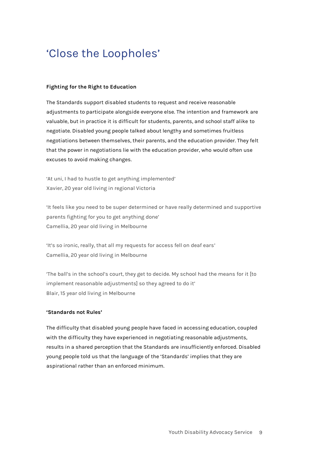## <span id="page-8-0"></span>'Close the Loopholes'

#### <span id="page-8-1"></span>**Fighting for the Right to Education**

The Standards support disabled students to request and receive reasonable adjustments to participate alongside everyone else. The intention and framework are valuable, but in practice it is difficult for students, parents, and school staff alike to negotiate. Disabled young people talked about lengthy and sometimes fruitless negotiations between themselves, their parents, and the education provider. They felt that the power in negotiations lie with the education provider, who would often use excuses to avoid making changes.

'At uni, I had to hustle to get anything implemented' Xavier, 20 year old living in regional Victoria

'It feels like you need to be super determined or have really determined and supportive parents fighting for you to get anything done' Camellia, 20 year old living in Melbourne

'It's so ironic, really, that all my requests for access fell on deaf ears' Camellia, 20 year old living in Melbourne

'The ball's in the school's court, they get to decide. My school had the means for it [to implement reasonable adjustments] so they agreed to do it' Blair, 15 year old living in Melbourne

#### <span id="page-8-2"></span>**'Standards not Rules'**

The difficulty that disabled young people have faced in accessing education, coupled with the difficulty they have experienced in negotiating reasonable adjustments, results in a shared perception that the Standards are insufficiently enforced. Disabled young people told us that the language of the 'Standards' implies that they are aspirational rather than an enforced minimum.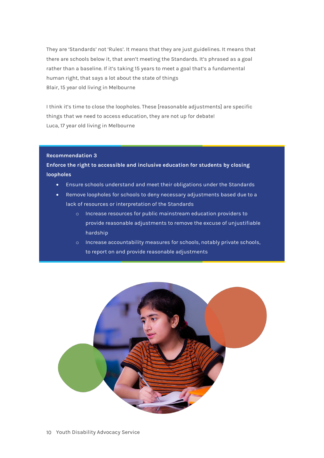They are 'Standards' not 'Rules'. It means that they are just guidelines. It means that there are schools below it, that aren't meeting the Standards. It's phrased as a goal rather than a baseline. If it's taking 15 years to meet a goal that's a fundamental human right, that says a lot about the state of things Blair, 15 year old living in Melbourne

I think it's time to close the loopholes. These [reasonable adjustments] are specific things that we need to access education, they are not up for debate! Luca, 17 year old living in Melbourne

#### <span id="page-9-0"></span>**Recommendation 3**

**Enforce the right to accessible and inclusive education for students by closing loopholes**

- Ensure schools understand and meet their obligations under the Standards
- Remove loopholes for schools to deny necessary adjustments based due to a lack of resources or interpretation of the Standards
	- o Increase resources for public mainstream education providers to provide reasonable adjustments to remove the excuse of unjustifiable hardship
	- o Increase accountability measures for schools, notably private schools, to report on and provide reasonable adjustments

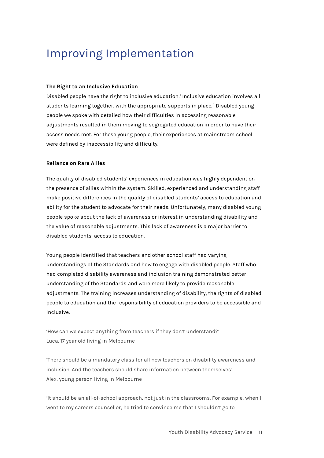# <span id="page-10-0"></span>Improving Implementation

#### **The Right to an Inclusive Education**

Disabled people have the right to inclusive education[.1](#page-4-2) Inclusive education involves all students learning together, with the appropriate supports in place.4 Disabled young people we spoke with detailed how their difficulties in accessing reasonable adjustments resulted in them moving to segregated education in order to have their access needs met. For these young people, their experiences at mainstream school were defined by inaccessibility and difficulty.

#### <span id="page-10-1"></span>**Reliance on Rare Allies**

The quality of disabled students' experiences in education was highly dependent on the presence of allies within the system. Skilled, experienced and understanding staff make positive differences in the quality of disabled students' access to education and ability for the student to advocate for their needs. Unfortunately, many disabled young people spoke about the lack of awareness or interest in understanding disability and the value of reasonable adjustments. This lack of awareness is a major barrier to disabled students' access to education.

Young people identified that teachers and other school staff had varying understandings of the Standards and how to engage with disabled people. Staff who had completed disability awareness and inclusion training demonstrated better understanding of the Standards and were more likely to provide reasonable adjustments. The training increases understanding of disability, the rights of disabled people to education and the responsibility of education providers to be accessible and inclusive.

'How can we expect anything from teachers if they don't understand?' Luca, 17 year old living in Melbourne

'There should be a mandatory class for all new teachers on disability awareness and inclusion. And the teachers should share information between themselves' Alex, young person living in Melbourne

'It should be an all-of-school approach, not just in the classrooms. For example, when I went to my careers counsellor, he tried to convince me that I shouldn't go to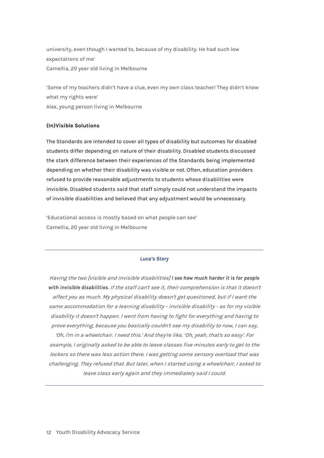university, even though I wanted to, because of my disability. He had such low expectations of me' Camellia, 20 year old living in Melbourne

'Some of my teachers didn't have a clue, even my own class teacher! They didn't know what my rights were' Alex, young person living in Melbourne

#### <span id="page-11-0"></span>**(In)Visible Solutions**

The Standards are intended to cover all types of disability but outcomes for disabled students differ depending on nature of their disability. Disabled students discussed the stark difference between their experiences of the Standards being implemented depending on whether their disability was visible or not. Often, education providers refused to provide reasonable adjustments to students whose disabilities were invisible. Disabled students said that staff simply could not understand the impacts of invisible disabilities and believed that any adjustment would be unnecessary.

'Educational access is mostly based on what people can see' Camellia, 20 year old living in Melbourne

#### *Luca's Story*

Having the two [visible and invisible disabilities] *I see how much harder it is for people with invisible disabilities*. If the staff can't see it, their comprehension is that it doesn't affect you as much. My physical disability doesn't get questioned, but if I want the same accommodation for a learning disability - invisible disability - as for my visible disability it doesn't happen. <sup>I</sup> went from having to fight for everything and having to prove everything, because you basically couldn't see my disability to now, I can say, 'Oh, I'm in a wheelchair. I need this.' And they're like, 'Oh, yeah, that's so easy'. For example, <sup>I</sup> originally asked to be able to leave classes five minutes early to get to the lockers so there was less action there. I was getting some sensory overload that was challenging. They refused that. But later, when I started using a wheelchair, I asked to leave class early again and they immediately said I could.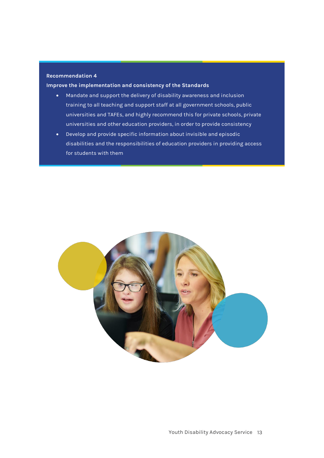#### <span id="page-12-0"></span>**Recommendation 4**

**Improve the implementation and consistency of the Standards**

- Mandate and support the delivery of disability awareness and inclusion training to all teaching and support staff at all government schools, public universities and TAFEs, and highly recommend this for private schools, private universities and other education providers, in order to provide consistency
- Develop and provide specific information about invisible and episodic disabilities and the responsibilities of education providers in providing access for students with them

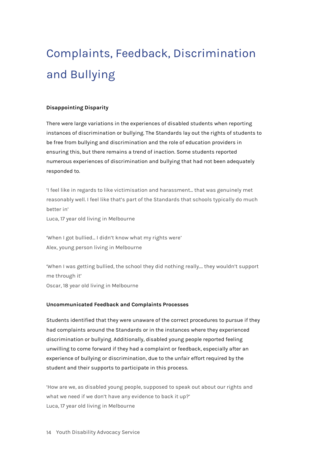# <span id="page-13-0"></span>Complaints, Feedback, Discrimination and Bullying

#### <span id="page-13-1"></span>**Disappointing Disparity**

There were large variations in the experiences of disabled students when reporting instances of discrimination or bullying. The Standards lay out the rights of students to be free from bullying and discrimination and the role of education providers in ensuring this, but there remains a trend of inaction. Some students reported numerous experiences of discrimination and bullying that had not been adequately responded to.

'I feel like in regards to like victimisation and harassment... that was genuinely met reasonably well. I feel like that's part of the Standards that schools typically do much better in'

Luca, 17 year old living in Melbourne

'When I got bullied... I didn't know what my rights were' Alex, young person living in Melbourne

'When I was getting bullied, the school they did nothing really.... they wouldn't support me through it' Oscar, 18 year old living in Melbourne

#### <span id="page-13-2"></span>**Uncommunicated Feedback and Complaints Processes**

Students identified that they were unaware of the correct procedures to pursue if they had complaints around the Standards or in the instances where they experienced discrimination or bullying. Additionally, disabled young people reported feeling unwilling to come forward if they had a complaint or feedback, especially after an experience of bullying or discrimination, due to the unfair effort required by the student and their supports to participate in this process.

'How are we, as disabled young people, supposed to speak out about our rights and what we need if we don't have any evidence to back it up?' Luca, 17 year old living in Melbourne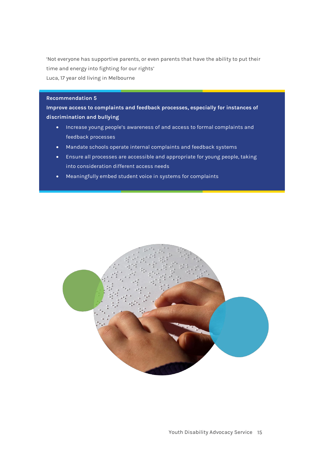'Not everyone has supportive parents, or even parents that have the ability to put their time and energy into fighting for our rights' Luca, 17 year old living in Melbourne

#### <span id="page-14-0"></span>**Recommendation 5**

**Improve access to complaints and feedback processes, especially for instances of discrimination and bullying**

- Increase young people's awareness of and access to formal complaints and feedback processes
- Mandate schools operate internal complaints and feedback systems
- Ensure all processes are accessible and appropriate for young people, taking into consideration different access needs
- Meaningfully embed student voice in systems for complaints

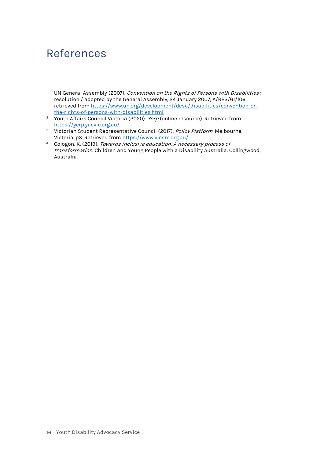### <span id="page-15-0"></span>References

- <sup>1</sup> UN General Assembly (2007). Convention on the Rights of Persons with Disabilities : resolution / adopted by the General Assembly, 24 January 2007, A/RES/61/106, retrieved from [https://www.un.org/development/desa/disabilities/convention-on](https://www.un.org/development/desa/disabilities/convention-on-the-rights-of-persons-with-disabilities.html)[the-rights-of-persons-with-disabilities.html](https://www.un.org/development/desa/disabilities/convention-on-the-rights-of-persons-with-disabilities.html)
- <sup>2</sup> Youth Affairs Council Victoria (2020). *Yerp* (online resource). Retrieved from <https://yerp.yacvic.org.au/>
- <sup>3</sup> Victorian Student Representative Council (2017). Policy Platform. Melbourne, Victoria. p3. Retrieved fro[m https://www.vicsrc.org.au/](https://www.vicsrc.org.au/)
- <sup>4</sup> Cologon, K. (2019). Towards inclusive education: A necessary process of transformation. Children and Young People with a Disability Australia. Collingwood, Australia.